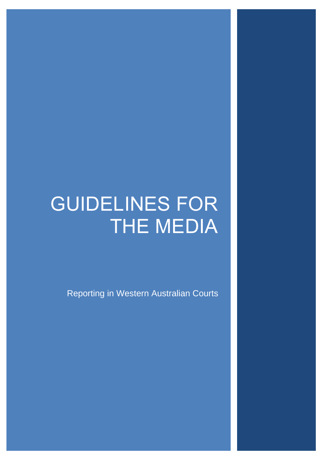# GUIDELINES FOR THE MEDIA

Reporting in Western Australian Courts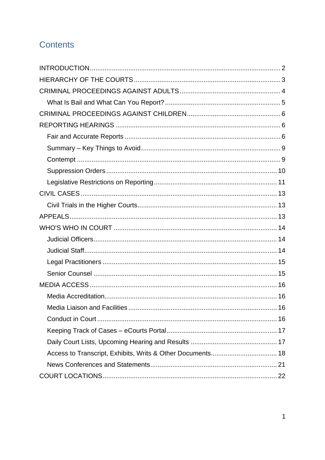## **Contents**

| Media Liaison and Facilities<br>16 |
|------------------------------------|
|                                    |
|                                    |
|                                    |
|                                    |
|                                    |
|                                    |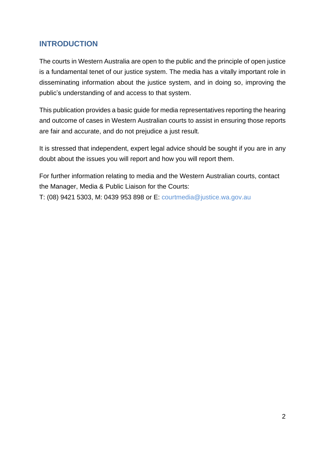## <span id="page-2-0"></span>**INTRODUCTION**

The courts in Western Australia are open to the public and the principle of open justice is a fundamental tenet of our justice system. The media has a vitally important role in disseminating information about the justice system, and in doing so, improving the public's understanding of and access to that system.

This publication provides a basic guide for media representatives reporting the hearing and outcome of cases in Western Australian courts to assist in ensuring those reports are fair and accurate, and do not prejudice a just result.

It is stressed that independent, expert legal advice should be sought if you are in any doubt about the issues you will report and how you will report them.

For further information relating to media and the Western Australian courts, contact the Manager, Media & Public Liaison for the Courts:

T: (08) 9421 5303, M: 0439 953 898 or E: [courtmedia@justice.wa.gov.au](mailto:courtmedia@justice.wa.gov.au)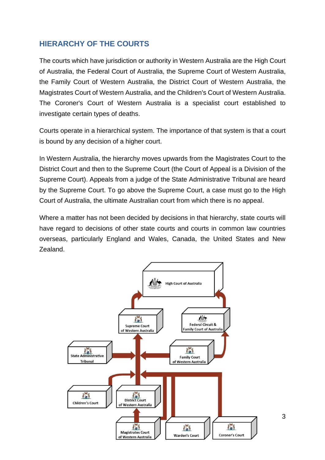## <span id="page-3-0"></span>**HIERARCHY OF THE COURTS**

The courts which have jurisdiction or authority in Western Australia are the High Court of Australia, the Federal Court of Australia, the Supreme Court of Western Australia, the Family Court of Western Australia, the District Court of Western Australia, the Magistrates Court of Western Australia, and the Children's Court of Western Australia. The Coroner's Court of Western Australia is a specialist court established to investigate certain types of deaths.

Courts operate in a hierarchical system. The importance of that system is that a court is bound by any decision of a higher court.

In Western Australia, the hierarchy moves upwards from the Magistrates Court to the District Court and then to the Supreme Court (the Court of Appeal is a Division of the Supreme Court). Appeals from a judge of the State Administrative Tribunal are heard by the Supreme Court. To go above the Supreme Court, a case must go to the High Court of Australia, the ultimate Australian court from which there is no appeal.

Where a matter has not been decided by decisions in that hierarchy, state courts will have regard to decisions of other state courts and courts in common law countries overseas, particularly England and Wales, Canada, the United States and New Zealand.



3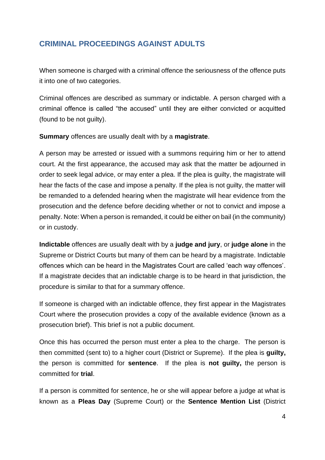## <span id="page-4-0"></span>**CRIMINAL PROCEEDINGS AGAINST ADULTS**

When someone is charged with a criminal offence the seriousness of the offence puts it into one of two categories.

Criminal offences are described as summary or indictable. A person charged with a criminal offence is called "the accused" until they are either convicted or acquitted (found to be not guilty).

**Summary** offences are usually dealt with by a **magistrate**.

A person may be arrested or issued with a summons requiring him or her to attend court. At the first appearance, the accused may ask that the matter be adjourned in order to seek legal advice, or may enter a plea. If the plea is guilty, the magistrate will hear the facts of the case and impose a penalty. If the plea is not guilty, the matter will be remanded to a defended hearing when the magistrate will hear evidence from the prosecution and the defence before deciding whether or not to convict and impose a penalty. Note: When a person is remanded, it could be either on bail (in the community) or in custody.

**Indictable** offences are usually dealt with by a **judge and jury**, or **judge alone** in the Supreme or District Courts but many of them can be heard by a magistrate. Indictable offences which can be heard in the Magistrates Court are called 'each way offences'. If a magistrate decides that an indictable charge is to be heard in that jurisdiction, the procedure is similar to that for a summary offence.

If someone is charged with an indictable offence, they first appear in the Magistrates Court where the prosecution provides a copy of the available evidence (known as a prosecution brief). This brief is not a public document.

Once this has occurred the person must enter a plea to the charge. The person is then committed (sent to) to a higher court (District or Supreme). If the plea is **guilty,** the person is committed for **sentence**. If the plea is **not guilty,** the person is committed for **trial**.

If a person is committed for sentence, he or she will appear before a judge at what is known as a **Pleas Day** (Supreme Court) or the **Sentence Mention List** (District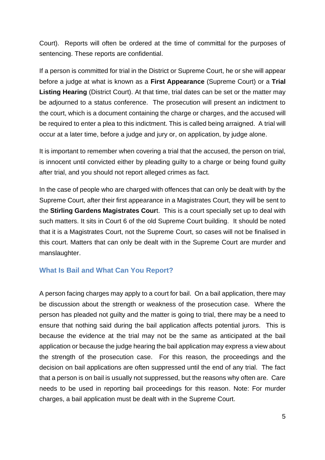Court). Reports will often be ordered at the time of committal for the purposes of sentencing. These reports are confidential.

If a person is committed for trial in the District or Supreme Court, he or she will appear before a judge at what is known as a **First Appearance** (Supreme Court) or a **Trial Listing Hearing** (District Court). At that time, trial dates can be set or the matter may be adjourned to a status conference. The prosecution will present an indictment to the court, which is a document containing the charge or charges, and the accused will be required to enter a plea to this indictment. This is called being arraigned. A trial will occur at a later time, before a judge and jury or, on application, by judge alone.

It is important to remember when covering a trial that the accused, the person on trial, is innocent until convicted either by pleading guilty to a charge or being found guilty after trial, and you should not report alleged crimes as fact.

In the case of people who are charged with offences that can only be dealt with by the Supreme Court, after their first appearance in a Magistrates Court, they will be sent to the **Stirling Gardens Magistrates Cour**t. This is a court specially set up to deal with such matters. It sits in Court 6 of the old Supreme Court building. It should be noted that it is a Magistrates Court, not the Supreme Court, so cases will not be finalised in this court. Matters that can only be dealt with in the Supreme Court are murder and manslaughter.

#### <span id="page-5-0"></span>**What Is Bail and What Can You Report?**

A person facing charges may apply to a court for bail. On a bail application, there may be discussion about the strength or weakness of the prosecution case. Where the person has pleaded not guilty and the matter is going to trial, there may be a need to ensure that nothing said during the bail application affects potential jurors. This is because the evidence at the trial may not be the same as anticipated at the bail application or because the judge hearing the bail application may express a view about the strength of the prosecution case. For this reason, the proceedings and the decision on bail applications are often suppressed until the end of any trial. The fact that a person is on bail is usually not suppressed, but the reasons why often are. Care needs to be used in reporting bail proceedings for this reason. Note: For murder charges, a bail application must be dealt with in the Supreme Court.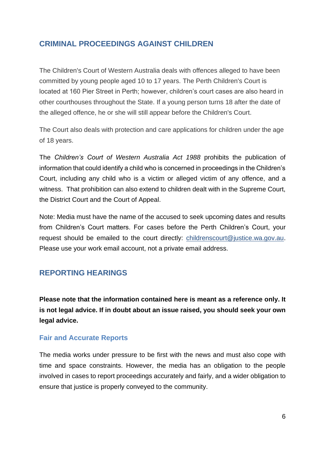## <span id="page-6-0"></span>**CRIMINAL PROCEEDINGS AGAINST CHILDREN**

The Children's Court of Western Australia deals with offences alleged to have been committed by young people aged 10 to 17 years. The Perth Children's Court is located at 160 Pier Street in Perth; however, children's court cases are also heard in other courthouses throughout the State. If a young person turns 18 after the date of the alleged offence, he or she will still appear before the Children's Court.

The Court also deals with protection and care applications for children under the age of 18 years.

The *Children's Court of Western Australia Act 1988* prohibits the publication of information that could identify a child who is concerned in proceedings in the Children's Court, including any child who is a victim or alleged victim of any offence, and a witness. That prohibition can also extend to children dealt with in the Supreme Court, the District Court and the Court of Appeal.

Note: Media must have the name of the accused to seek upcoming dates and results from Children's Court matters. For cases before the Perth Children's Court, your request should be emailed to the court directly: [childrenscourt@justice.wa.gov.au.](mailto:childrenscourt@justice.wa.gov.au) Please use your work email account, not a private email address.

## <span id="page-6-1"></span>**REPORTING HEARINGS**

**Please note that the information contained here is meant as a reference only. It is not legal advice. If in doubt about an issue raised, you should seek your own legal advice.**

#### <span id="page-6-2"></span>**Fair and Accurate Reports**

The media works under pressure to be first with the news and must also cope with time and space constraints. However, the media has an obligation to the people involved in cases to report proceedings accurately and fairly, and a wider obligation to ensure that justice is properly conveyed to the community.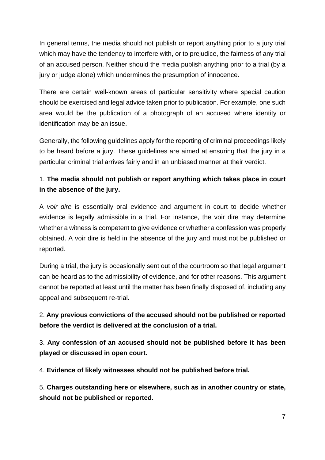In general terms, the media should not publish or report anything prior to a jury trial which may have the tendency to interfere with, or to prejudice, the fairness of any trial of an accused person. Neither should the media publish anything prior to a trial (by a jury or judge alone) which undermines the presumption of innocence.

There are certain well-known areas of particular sensitivity where special caution should be exercised and legal advice taken prior to publication. For example, one such area would be the publication of a photograph of an accused where identity or identification may be an issue.

Generally, the following guidelines apply for the reporting of criminal proceedings likely to be heard before a jury. These guidelines are aimed at ensuring that the jury in a particular criminal trial arrives fairly and in an unbiased manner at their verdict.

## 1. **The media should not publish or report anything which takes place in court in the absence of the jury.**

A *voir dire* is essentially oral evidence and argument in court to decide whether evidence is legally admissible in a trial. For instance, the voir dire may determine whether a witness is competent to give evidence or whether a confession was properly obtained. A voir dire is held in the absence of the jury and must not be published or reported.

During a trial, the jury is occasionally sent out of the courtroom so that legal argument can be heard as to the admissibility of evidence, and for other reasons. This argument cannot be reported at least until the matter has been finally disposed of, including any appeal and subsequent re-trial.

## 2. **Any previous convictions of the accused should not be published or reported before the verdict is delivered at the conclusion of a trial.**

3. **Any confession of an accused should not be published before it has been played or discussed in open court.**

4. **Evidence of likely witnesses should not be published before trial.**

5. **Charges outstanding here or elsewhere, such as in another country or state, should not be published or reported.**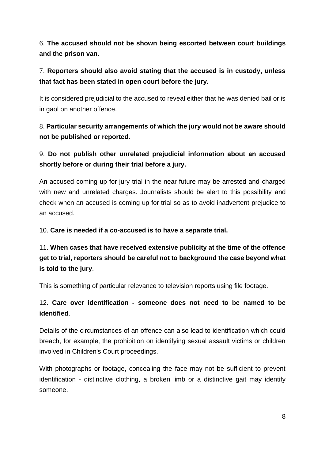6. **The accused should not be shown being escorted between court buildings and the prison van.**

## 7. **Reporters should also avoid stating that the accused is in custody, unless that fact has been stated in open court before the jury.**

It is considered prejudicial to the accused to reveal either that he was denied bail or is in gaol on another offence.

## 8. **Particular security arrangements of which the jury would not be aware should not be published or reported.**

9. **Do not publish other unrelated prejudicial information about an accused shortly before or during their trial before a jury.**

An accused coming up for jury trial in the near future may be arrested and charged with new and unrelated charges. Journalists should be alert to this possibility and check when an accused is coming up for trial so as to avoid inadvertent prejudice to an accused.

10. **Care is needed if a co-accused is to have a separate trial.**

11. **When cases that have received extensive publicity at the time of the offence get to trial, reporters should be careful not to background the case beyond what is told to the jury**.

This is something of particular relevance to television reports using file footage.

## 12. **Care over identification - someone does not need to be named to be identified**.

Details of the circumstances of an offence can also lead to identification which could breach, for example, the prohibition on identifying sexual assault victims or children involved in Children's Court proceedings.

With photographs or footage, concealing the face may not be sufficient to prevent identification - distinctive clothing, a broken limb or a distinctive gait may identify someone.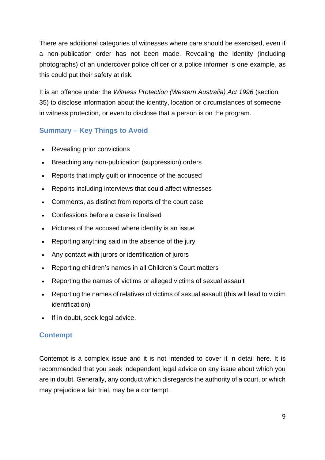There are additional categories of witnesses where care should be exercised, even if a non-publication order has not been made. Revealing the identity (including photographs) of an undercover police officer or a police informer is one example, as this could put their safety at risk.

It is an offence under the *Witness Protection (Western Australia) Act 1996* (section 35) to disclose information about the identity, location or circumstances of someone in witness protection, or even to disclose that a person is on the program.

## <span id="page-9-0"></span>**Summary – Key Things to Avoid**

- Revealing prior convictions
- Breaching any non-publication (suppression) orders
- Reports that imply guilt or innocence of the accused
- Reports including interviews that could affect witnesses
- Comments, as distinct from reports of the court case
- Confessions before a case is finalised
- Pictures of the accused where identity is an issue
- Reporting anything said in the absence of the jury
- Any contact with jurors or identification of jurors
- Reporting children's names in all Children's Court matters
- Reporting the names of victims or alleged victims of sexual assault
- Reporting the names of relatives of victims of sexual assault (this will lead to victim identification)
- If in doubt, seek legal advice.

## <span id="page-9-1"></span>**Contempt**

Contempt is a complex issue and it is not intended to cover it in detail here. It is recommended that you seek independent legal advice on any issue about which you are in doubt. Generally, any conduct which disregards the authority of a court, or which may prejudice a fair trial, may be a contempt.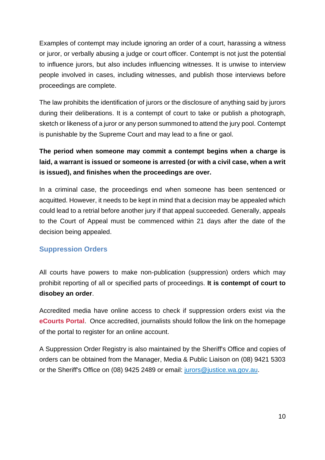Examples of contempt may include ignoring an order of a court, harassing a witness or juror, or verbally abusing a judge or court officer. Contempt is not just the potential to influence jurors, but also includes influencing witnesses. It is unwise to interview people involved in cases, including witnesses, and publish those interviews before proceedings are complete.

The law prohibits the identification of jurors or the disclosure of anything said by jurors during their deliberations. It is a contempt of court to take or publish a photograph, sketch or likeness of a juror or any person summoned to attend the jury pool. Contempt is punishable by the Supreme Court and may lead to a fine or gaol.

## **The period when someone may commit a contempt begins when a charge is laid, a warrant is issued or someone is arrested (or with a civil case, when a writ is issued), and finishes when the proceedings are over.**

In a criminal case, the proceedings end when someone has been sentenced or acquitted. However, it needs to be kept in mind that a decision may be appealed which could lead to a retrial before another jury if that appeal succeeded. Generally, appeals to the Court of Appeal must be commenced within 21 days after the date of the decision being appealed.

## <span id="page-10-0"></span>**Suppression Orders**

All courts have powers to make non-publication (suppression) orders which may prohibit reporting of all or specified parts of proceedings. **It is contempt of court to disobey an order**.

Accredited media have online access to check if suppression orders exist via the **[eCourts Portal](https://ecourts.justice.wa.gov.au/eCourtsPortal/)**. Once accredited, journalists should follow the link on the homepage of the portal to register for an online account.

A Suppression Order Registry is also maintained by the Sheriff's Office and copies of orders can be obtained from the Manager, Media & Public Liaison on (08) 9421 5303 or the Sheriff's Office on (08) 9425 2489 or email: [jurors@justice.wa.gov.au.](mailto:jurors@justice.wa.gov.au)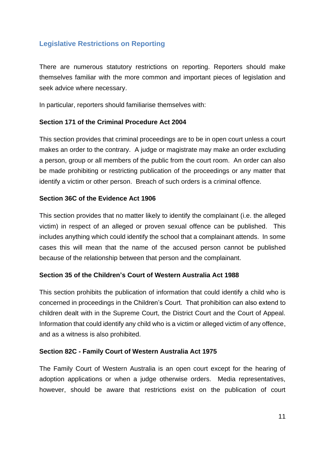## <span id="page-11-0"></span>**Legislative Restrictions on Reporting**

There are numerous statutory restrictions on reporting. Reporters should make themselves familiar with the more common and important pieces of legislation and seek advice where necessary.

In particular, reporters should familiarise themselves with:

#### **Section 171 of the Criminal Procedure Act 2004**

This section provides that criminal proceedings are to be in open court unless a court makes an order to the contrary. A judge or magistrate may make an order excluding a person, group or all members of the public from the court room. An order can also be made prohibiting or restricting publication of the proceedings or any matter that identify a victim or other person. Breach of such orders is a criminal offence.

#### **Section 36C of the Evidence Act 1906**

This section provides that no matter likely to identify the complainant (i.e. the alleged victim) in respect of an alleged or proven sexual offence can be published. This includes anything which could identify the school that a complainant attends. In some cases this will mean that the name of the accused person cannot be published because of the relationship between that person and the complainant.

#### **Section 35 of the Children's Court of Western Australia Act 1988**

This section prohibits the publication of information that could identify a child who is concerned in proceedings in the Children's Court. That prohibition can also extend to children dealt with in the Supreme Court, the District Court and the Court of Appeal. Information that could identify any child who is a victim or alleged victim of any offence, and as a witness is also prohibited.

#### **Section 82C - Family Court of Western Australia Act 1975**

The Family Court of Western Australia is an open court except for the hearing of adoption applications or when a judge otherwise orders. Media representatives, however, should be aware that restrictions exist on the publication of court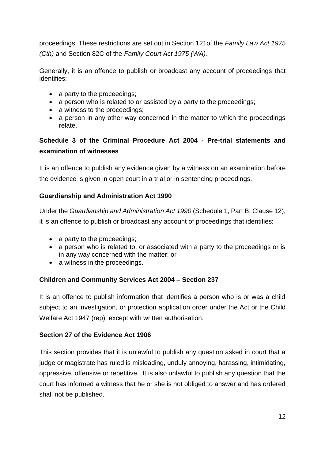proceedings. These restrictions are set out in Section 121of the *Family Law Act 1975 (Cth)* and Section 82C of the *Family Court Act 1975 (WA).* 

Generally, it is an offence to publish or broadcast any account of proceedings that identifies:

- a party to the proceedings;
- a person who is related to or assisted by a party to the proceedings;
- a witness to the proceedings;
- a person in any other way concerned in the matter to which the proceedings relate.

## **Schedule 3 of the Criminal Procedure Act 2004 - Pre-trial statements and examination of witnesses**

It is an offence to publish any evidence given by a witness on an examination before the evidence is given in open court in a trial or in sentencing proceedings.

### **Guardianship and Administration Act 1990**

Under the *Guardianship and Administration Act 1990* (Schedule 1, Part B, Clause 12), it is an offence to publish or broadcast any account of proceedings that identifies:

- a party to the proceedings;
- a person who is related to, or associated with a party to the proceedings or is in any way concerned with the matter; or
- a witness in the proceedings.

## **Children and Community Services Act 2004 – Section 237**

It is an offence to publish information that identifies a person who is or was a child subject to an investigation, or protection application order under the Act or the Child Welfare Act 1947 (rep), except with written authorisation.

#### **Section 27 of the Evidence Act 1906**

This section provides that it is unlawful to publish any question asked in court that a judge or magistrate has ruled is misleading, unduly annoying, harassing, intimidating, oppressive, offensive or repetitive. It is also unlawful to publish any question that the court has informed a witness that he or she is not obliged to answer and has ordered shall not be published.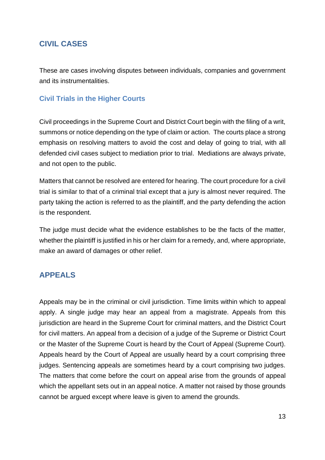## <span id="page-13-0"></span>**CIVIL CASES**

These are cases involving disputes between individuals, companies and government and its instrumentalities.

## <span id="page-13-1"></span>**Civil Trials in the Higher Courts**

Civil proceedings in the Supreme Court and District Court begin with the filing of a writ, summons or notice depending on the type of claim or action. The courts place a strong emphasis on resolving matters to avoid the cost and delay of going to trial, with all defended civil cases subject to mediation prior to trial. Mediations are always private, and not open to the public.

Matters that cannot be resolved are entered for hearing. The court procedure for a civil trial is similar to that of a criminal trial except that a jury is almost never required. The party taking the action is referred to as the plaintiff, and the party defending the action is the respondent.

The judge must decide what the evidence establishes to be the facts of the matter, whether the plaintiff is justified in his or her claim for a remedy, and, where appropriate, make an award of damages or other relief.

## <span id="page-13-2"></span>**APPEALS**

Appeals may be in the criminal or civil jurisdiction. Time limits within which to appeal apply. A single judge may hear an appeal from a magistrate. Appeals from this jurisdiction are heard in the Supreme Court for criminal matters, and the District Court for civil matters. An appeal from a decision of a judge of the Supreme or District Court or the Master of the Supreme Court is heard by the Court of Appeal (Supreme Court). Appeals heard by the Court of Appeal are usually heard by a court comprising three judges. Sentencing appeals are sometimes heard by a court comprising two judges. The matters that come before the court on appeal arise from the grounds of appeal which the appellant sets out in an appeal notice. A matter not raised by those grounds cannot be argued except where leave is given to amend the grounds.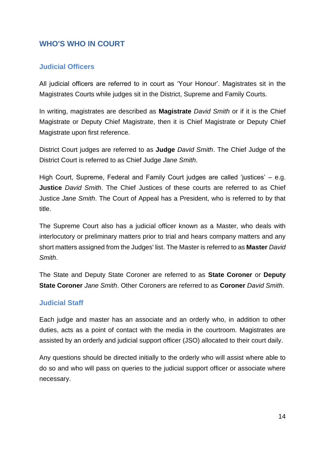## <span id="page-14-0"></span>**WHO'S WHO IN COURT**

## <span id="page-14-1"></span>**Judicial Officers**

All judicial officers are referred to in court as 'Your Honour'. Magistrates sit in the Magistrates Courts while judges sit in the District, Supreme and Family Courts.

In writing, magistrates are described as **Magistrate** *David Smith* or if it is the Chief Magistrate or Deputy Chief Magistrate, then it is Chief Magistrate or Deputy Chief Magistrate upon first reference.

District Court judges are referred to as **Judge** *David Smith*. The Chief Judge of the District Court is referred to as Chief Judge *Jane Smith*.

High Court, Supreme, Federal and Family Court judges are called 'justices' – e.g. **Justice** *David Smith*. The Chief Justices of these courts are referred to as Chief Justice *Jane Smith*. The Court of Appeal has a President, who is referred to by that title.

The Supreme Court also has a judicial officer known as a Master, who deals with interlocutory or preliminary matters prior to trial and hears company matters and any short matters assigned from the Judges' list. The Master is referred to as **Master** *David Smith*.

The State and Deputy State Coroner are referred to as **State Coroner** or **Deputy State Coroner** *Jane Smith*. Other Coroners are referred to as **Coroner** *David Smith*.

#### <span id="page-14-2"></span>**Judicial Staff**

Each judge and master has an associate and an orderly who, in addition to other duties, acts as a point of contact with the media in the courtroom. Magistrates are assisted by an orderly and judicial support officer (JSO) allocated to their court daily.

Any questions should be directed initially to the orderly who will assist where able to do so and who will pass on queries to the judicial support officer or associate where necessary.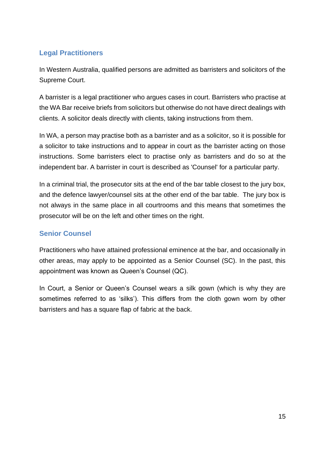## <span id="page-15-0"></span>**Legal Practitioners**

In Western Australia, qualified persons are admitted as barristers and solicitors of the Supreme Court.

A barrister is a legal practitioner who argues cases in court. Barristers who practise at the WA Bar receive briefs from solicitors but otherwise do not have direct dealings with clients. A solicitor deals directly with clients, taking instructions from them.

In WA, a person may practise both as a barrister and as a solicitor, so it is possible for a solicitor to take instructions and to appear in court as the barrister acting on those instructions. Some barristers elect to practise only as barristers and do so at the independent bar. A barrister in court is described as 'Counsel' for a particular party.

In a criminal trial, the prosecutor sits at the end of the bar table closest to the jury box, and the defence lawyer/counsel sits at the other end of the bar table. The jury box is not always in the same place in all courtrooms and this means that sometimes the prosecutor will be on the left and other times on the right.

## <span id="page-15-1"></span>**Senior Counsel**

Practitioners who have attained professional eminence at the bar, and occasionally in other areas, may apply to be appointed as a Senior Counsel (SC). In the past, this appointment was known as Queen's Counsel (QC).

<span id="page-15-2"></span>In Court, a Senior or Queen's Counsel wears a silk gown (which is why they are sometimes referred to as 'silks'). This differs from the cloth gown worn by other barristers and has a square flap of fabric at the back.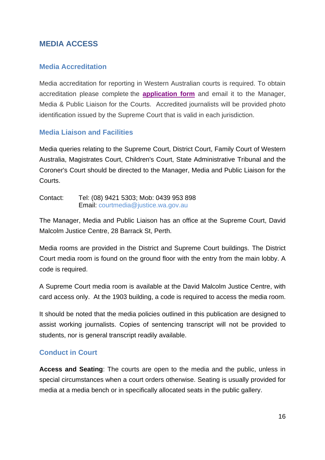## **MEDIA ACCESS**

#### **Media Accreditation**

Media accreditation for reporting in Western Australian courts is required. To obtain accreditation please complete the **[application](https://www.supremecourt.wa.gov.au/_files/Media/2022/Mediaaccreditationundertaking-SupremeCourtofWA.pdf) form** and email it to the Manager, Media & Public Liaison for the Courts. Accredited journalists will be provided photo identification issued by the Supreme Court that is valid in each jurisdiction.

#### <span id="page-16-0"></span>**Media Liaison and Facilities**

Media queries relating to the Supreme Court, District Court, Family Court of Western Australia, Magistrates Court, Children's Court, State Administrative Tribunal and the Coroner's Court should be directed to the Manager, Media and Public Liaison for the Courts.

Contact: Tel: (08) 9421 5303; Mob: 0439 953 898 Email: [courtmedia@justice.wa.gov.au](mailto:courtmedia@justice.wa.gov.au)

The Manager, Media and Public Liaison has an office at the Supreme Court, David Malcolm Justice Centre, 28 Barrack St, Perth.

Media rooms are provided in the District and Supreme Court buildings. The District Court media room is found on the ground floor with the entry from the main lobby. A code is required.

A Supreme Court media room is available at the David Malcolm Justice Centre, with card access only. At the 1903 building, a code is required to access the media room.

It should be noted that the media policies outlined in this publication are designed to assist working journalists. Copies of sentencing transcript will not be provided to students, nor is general transcript readily available.

## <span id="page-16-1"></span>**Conduct in Court**

**Access and Seating**: The courts are open to the media and the public, unless in special circumstances when a court orders otherwise. Seating is usually provided for media at a media bench or in specifically allocated seats in the public gallery.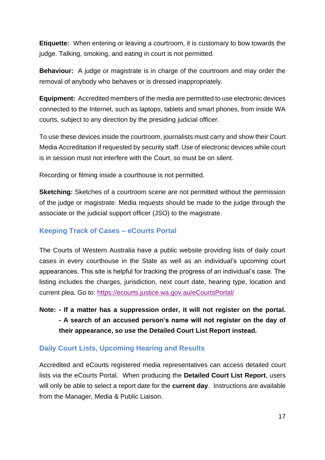**Etiquette:** When entering or leaving a courtroom, it is customary to bow towards the judge. Talking, smoking, and eating in court is not permitted.

**Behaviour:** A judge or magistrate is in charge of the courtroom and may order the removal of anybody who behaves or is dressed inappropriately.

**Equipment:** Accredited members of the media are permitted to use electronic devices connected to the Internet, such as laptops, tablets and smart phones, from inside WA courts, subject to any direction by the presiding judicial officer.

To use these devices inside the courtroom, journalists must carry and show their Court Media Accreditation if requested by security staff. Use of electronic devices while court is in session must not interfere with the Court, so must be on silent.

Recording or filming inside a courthouse is not permitted.

**Sketching:** Sketches of a courtroom scene are not permitted without the permission of the judge or magistrate. Media requests should be made to the judge through the associate or the judicial support officer (JSO) to the magistrate.

#### <span id="page-17-0"></span>**Keeping Track of Cases – eCourts Portal**

The Courts of Western Australia have a public website providing lists of daily court cases in every courthouse in the State as well as an individual's upcoming court appearances. This site is helpful for tracking the progress of an individual's case. The listing includes the charges, jurisdiction, next court date, hearing type, location and current plea. Go to:<https://ecourts.justice.wa.gov.au/eCourtsPortal/>

**Note: - If a matter has a suppression order, it will not register on the portal. - A search of an accused person's name will not register on the day of their appearance, so use the Detailed Court List Report instead.**

#### <span id="page-17-1"></span>**Daily Court Lists, Upcoming Hearing and Results**

Accredited and eCourts registered media representatives can access detailed court lists via the eCourts Portal. When producing the **Detailed Court List Report**, users will only be able to select a report date for the **current day**. Instructions are available from the Manager, Media & Public Liaison.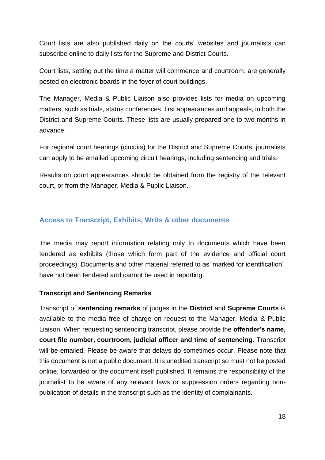Court lists are also published daily on the courts' websites and journalists can subscribe online to daily lists for the Supreme and District Courts.

Court lists, setting out the time a matter will commence and courtroom, are generally posted on electronic boards in the foyer of court buildings.

The Manager, Media & Public Liaison also provides lists for media on upcoming matters, such as trials, status conferences, first appearances and appeals, in both the District and Supreme Courts. These lists are usually prepared one to two months in advance.

For regional court hearings (circuits) for the District and Supreme Courts, journalists can apply to be emailed upcoming circuit hearings, including sentencing and trials.

Results on court appearances should be obtained from the registry of the relevant court, or from the Manager, Media & Public Liaison.

### <span id="page-18-0"></span>**Access to Transcript, Exhibits, Writs & other documents**

The media may report information relating only to documents which have been tendered as exhibits (those which form part of the evidence and official court proceedings). Documents and other material referred to as 'marked for identification' have not been tendered and cannot be used in reporting.

#### **Transcript and Sentencing Remarks**

Transcript of **sentencing remarks** of judges in the **District** and **Supreme Courts** is available to the media free of charge on request to the Manager, Media & Public Liaison. When requesting sentencing transcript, please provide the **offender's name, court file number, courtroom, judicial officer and time of sentencing**. Transcript will be emailed. Please be aware that delays do sometimes occur. Please note that this document is not a public document. It is unedited transcript so must not be posted online, forwarded or the document itself published. It remains the responsibility of the journalist to be aware of any relevant laws or suppression orders regarding nonpublication of details in the transcript such as the identity of complainants.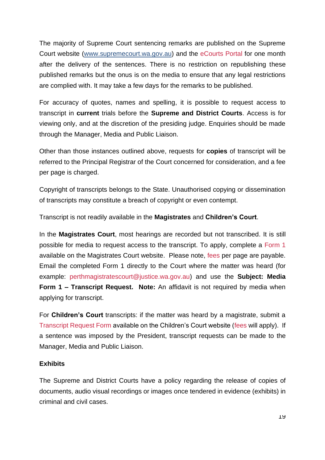The majority of Supreme Court sentencing remarks are published on the Supreme Court website [\(www.supremecourt.wa.gov.au\)](http://www.supremecourt.wa.gov.au/) and the [eCourts Portal](https://ecourts.justice.wa.gov.au/eCourtsPortal/) for one month after the delivery of the sentences. There is no restriction on republishing these published remarks but the onus is on the media to ensure that any legal restrictions are complied with. It may take a few days for the remarks to be published.

For accuracy of quotes, names and spelling, it is possible to request access to transcript in **current** trials before the **Supreme and District Courts**. Access is for viewing only, and at the discretion of the presiding judge. Enquiries should be made through the Manager, Media and Public Liaison.

Other than those instances outlined above, requests for **copies** of transcript will be referred to the Principal Registrar of the Court concerned for consideration, and a fee per page is charged.

Copyright of transcripts belongs to the State. Unauthorised copying or dissemination of transcripts may constitute a breach of copyright or even contempt.

Transcript is not readily available in the **Magistrates** and **Children's Court**.

In the **Magistrates Court**, most hearings are recorded but not transcribed. It is still possible for media to request access to the transcript. To apply, complete a [Form 1](https://www.magistratescourt.wa.gov.au/_files/MCG_Form_1_Request_court_record.pdf) available on the Magistrates Court website. Please note, [fees](https://www.magistratescourt.wa.gov.au/_files/Magistrates_Court_Fees.pdf) per page are payable. Email the completed Form 1 directly to the Court where the matter was heard (for example: [perthmagistratescourt@justice.wa.gov.au\)](mailto:perthmagistratescourt@justice.wa.gov.au) and use the **Subject: Media Form 1 – Transcript Request. Note:** An affidavit is not required by media when applying for transcript.

For **Children's Court** transcripts: if the matter was heard by a magistrate, submit a [Transcript Request Form](https://www.childrenscourt.wa.gov.au/_files/Transcript_Request_Form.pdf) available on the Children's Court website [\(fees](https://www.childrenscourt.wa.gov.au/_files/court_fees.pdf) will apply). If a sentence was imposed by the President, transcript requests can be made to the Manager, Media and Public Liaison.

#### **Exhibits**

The Supreme and District Courts have a policy regarding the release of copies of documents, audio visual recordings or images once tendered in evidence (exhibits) in criminal and civil cases.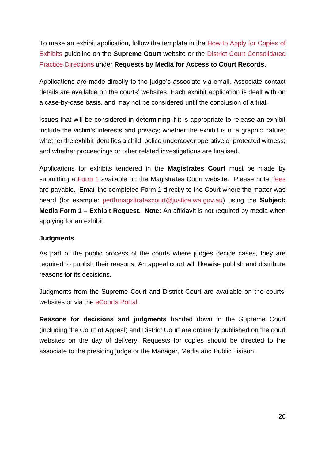To make an exhibit application, follow the template in the [How to Apply for Copies of](https://www.supremecourt.wa.gov.au/_files/How_to_Apply_for_Copies_of_Exhibits.pdf)  [Exhibits](https://www.supremecourt.wa.gov.au/_files/How_to_Apply_for_Copies_of_Exhibits.pdf) guideline on the **Supreme Court** website or the [District Court Consolidated](https://www.districtcourt.wa.gov.au/_files/DC_Consolidated_Criminal_Procedure.pdf)  [Practice Directions](https://www.districtcourt.wa.gov.au/_files/DC_Consolidated_Criminal_Procedure.pdf) under **Requests by Media for Access to Court Records**.

Applications are made directly to the judge's associate via email. Associate contact details are available on the courts' websites. Each exhibit application is dealt with on a case-by-case basis, and may not be considered until the conclusion of a trial.

Issues that will be considered in determining if it is appropriate to release an exhibit include the victim's interests and privacy; whether the exhibit is of a graphic nature; whether the exhibit identifies a child, police undercover operative or protected witness; and whether proceedings or other related investigations are finalised.

Applications for exhibits tendered in the **Magistrates Court** must be made by submitting a [Form 1](https://www.magistratescourt.wa.gov.au/_files/MCG_Form_1_Request_court_record.pdf) available on the Magistrates Court website. Please note, [fees](https://www.magistratescourt.wa.gov.au/_files/Magistrates_Court_Fees.pdf) are payable. Email the completed Form 1 directly to the Court where the matter was heard (for example: [perthmagsitratescourt@justice.wa.gov.au\)](mailto:perthmagsitratescourt@justice.wa.gov.au) using the **Subject: Media Form 1 – Exhibit Request. Note:** An affidavit is not required by media when applying for an exhibit.

#### **Judgments**

As part of the public process of the courts where judges decide cases, they are required to publish their reasons. An appeal court will likewise publish and distribute reasons for its decisions.

Judgments from the Supreme Court and District Court are available on the courts' websites or via the [eCourts Portal.](https://ecourts.justice.wa.gov.au/eCourtsPortal/)

**Reasons for decisions and judgments** handed down in the Supreme Court (including the Court of Appeal) and District Court are ordinarily published on the court websites on the day of delivery. Requests for copies should be directed to the associate to the presiding judge or the Manager, Media and Public Liaison.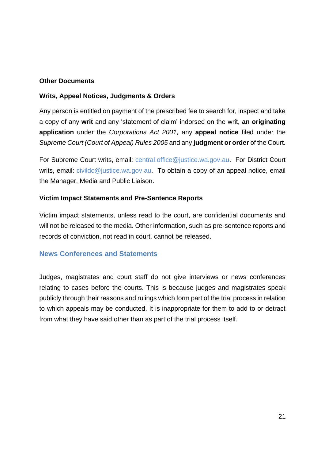#### **Other Documents**

#### **Writs, Appeal Notices, Judgments & Orders**

Any person is entitled on payment of the prescribed fee to search for, inspect and take a copy of any **writ** and any 'statement of claim' indorsed on the writ, **an originating application** under the *Corporations Act 2001,* any **appeal notice** filed under the *Supreme Court (Court of Appeal) Rules 2005* and any **judgment or order** of the Court.

For Supreme Court writs, email: [central.office@justice.wa.gov.au.](mailto:central.office@justice.wa.gov.au) For District Court writs, email: *civildc@justice.wa.gov.au.* To obtain a copy of an appeal notice, email the Manager, Media and Public Liaison.

#### **Victim Impact Statements and Pre-Sentence Reports**

Victim impact statements, unless read to the court, are confidential documents and will not be released to the media. Other information, such as pre-sentence reports and records of conviction, not read in court, cannot be released.

#### <span id="page-21-0"></span>**News Conferences and Statements**

<span id="page-21-1"></span>Judges, magistrates and court staff do not give interviews or news conferences relating to cases before the courts. This is because judges and magistrates speak publicly through their reasons and rulings which form part of the trial process in relation to which appeals may be conducted. It is inappropriate for them to add to or detract from what they have said other than as part of the trial process itself.